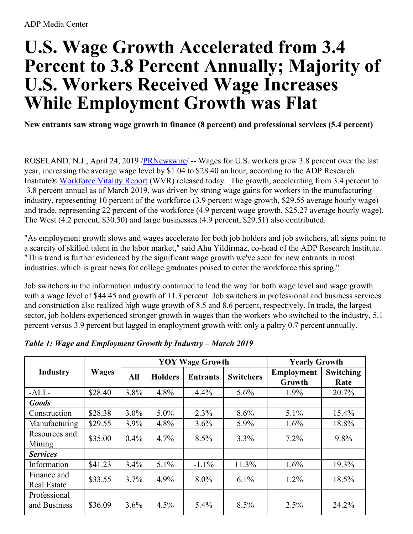## **U.S. Wage Growth Accelerated from 3.4 Percent to 3.8 Percent Annually; Majority of U.S. Workers Received Wage Increases While Employment Growth was Flat**

**New entrants saw strong wage growth in finance (8 percent) and professional services (5.4 percent)**

ROSELAND, N.J., April 24, 2019 [/PRNewswire](http://www.prnewswire.com/)/ -- Wages for U.S. workers grew 3.8 percent over the last year, increasing the average wage level by \$1.04 to \$28.40 an hour, according to the ADP Research Institute® [Workforce](https://c212.net/c/link/?t=0&l=en&o=2444210-1&h=631643667&u=http%3A%2F%2Fworkforcereport.adp.com%2F&a=Workforce+Vitality+Report) Vitality Report (WVR) released today. The growth, accelerating from 3.4 percent to 3.8 percent annual as of March 2019, was driven by strong wage gains for workers in the manufacturing industry, representing 10 percent of the workforce (3.9 percent wage growth, \$29.55 average hourly wage) and trade, representing 22 percent of the workforce (4.9 percent wage growth, \$25.27 average hourly wage). The West (4.2 percent, \$30.50) and large businesses (4.9 percent, \$29.51) also contributed.

"As employment growth slows and wages accelerate for both job holders and job switchers, all signs point to a scarcity of skilled talent in the labor market," said Ahu Yildirmaz, co-head of the ADP Research Institute. "This trend is further evidenced by the significant wage growth we've seen for new entrants in most industries, which is great news for college graduates poised to enter the workforce this spring."

Job switchers in the information industry continued to lead the way for both wage level and wage growth with a wage level of \$44.45 and growth of 11.3 percent. Job switchers in professional and business services and construction also realized high wage growth of 8.5 and 8.6 percent, respectively. In trade, the largest sector, job holders experienced stronger growth in wages than the workers who switched to the industry, 5.1 percent versus 3.9 percent but lagged in employment growth with only a paltry 0.7 percent annually.

|                                   | <b>Wages</b> | <b>YOY Wage Growth</b> |                |                 |                  | <b>Yearly Growth</b>        |                   |
|-----------------------------------|--------------|------------------------|----------------|-----------------|------------------|-----------------------------|-------------------|
| <b>Industry</b>                   |              | All                    | <b>Holders</b> | <b>Entrants</b> | <b>Switchers</b> | <b>Employment</b><br>Growth | Switching<br>Rate |
| $-ALL$                            | \$28.40      | 3.8%                   | 4.8%           | 4.4%            | 5.6%             | $1.9\%$                     | 20.7%             |
| <b>Goods</b>                      |              |                        |                |                 |                  |                             |                   |
| Construction                      | \$28.38      | $3.0\%$                | $5.0\%$        | 2.3%            | 8.6%             | 5.1%                        | 15.4%             |
| Manufacturing                     | \$29.55      | 3.9%                   | 4.8%           | 3.6%            | 5.9%             | 1.6%                        | 18.8%             |
| Resources and<br>Mining           | \$35.00      | 0.4%                   | 4.7%           | 8.5%            | 3.3%             | $7.2\%$                     | 9.8%              |
| <b>Services</b>                   |              |                        |                |                 |                  |                             |                   |
| Information                       | \$41.23      | 3.4%                   | 5.1%           | $-1.1\%$        | 11.3%            | 1.6%                        | 19.3%             |
| Finance and<br><b>Real Estate</b> | \$33.55      | 3.7%                   | 4.9%           | $8.0\%$         | $6.1\%$          | $1.2\%$                     | 18.5%             |
| Professional<br>and Business      | \$36.09      | 3.6%                   | 4.5%           | 5.4%            | 8.5%             | 2.5%                        | 24.2%             |

*Table 1: Wage and Employment Growth by Industry – March 2019*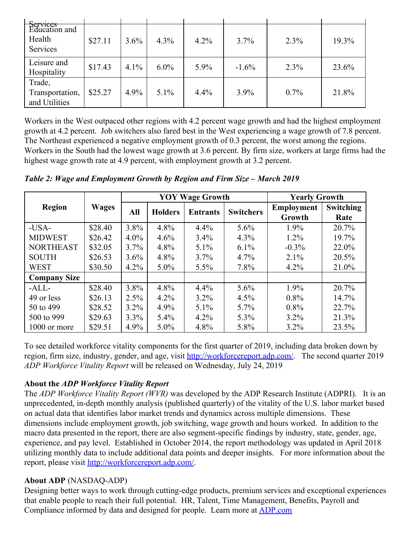| Services<br>Education and<br>Health<br>Services | \$27.11 | 3.6% | $4.3\%$ | 4.2% | $3.7\%$  | $2.3\%$ | 19.3% |
|-------------------------------------------------|---------|------|---------|------|----------|---------|-------|
| Leisure and<br>Hospitality                      | \$17.43 | 4.1% | $6.0\%$ | 5.9% | $-1.6\%$ | $2.3\%$ | 23.6% |
| Trade,<br>Transportation,<br>and Utilities      | \$25.27 | 4.9% | $5.1\%$ | 4.4% | $3.9\%$  | $0.7\%$ | 21.8% |

Workers in the West outpaced other regions with 4.2 percent wage growth and had the highest employment growth at 4.2 percent. Job switchers also fared best in the West experiencing a wage growth of 7.8 percent. The Northeast experienced a negative employment growth of 0.3 percent, the worst among the regions. Workers in the South had the lowest wage growth at 3.6 percent. By firm size, workers at large firms had the highest wage growth rate at 4.9 percent, with employment growth at 3.2 percent.

*Table 2: Wage and Employment Growth by Region and Firm Size – March 2019*

|                     | <b>Wages</b> | <b>YOY Wage Growth</b> |                |                 |                  | <b>Yearly Growth</b> |           |
|---------------------|--------------|------------------------|----------------|-----------------|------------------|----------------------|-----------|
| <b>Region</b>       |              | All                    | <b>Holders</b> | <b>Entrants</b> | <b>Switchers</b> | <b>Employment</b>    | Switching |
|                     |              |                        |                |                 |                  | Growth               | Rate      |
| $-USA-$             | \$28.40      | $3.8\%$                | $4.8\%$        | $4.4\%$         | $5.6\%$          | $1.9\%$              | 20.7%     |
| <b>MIDWEST</b>      | \$26.42      | $4.0\%$                | $4.6\%$        | $3.4\%$         | $4.3\%$          | $1.2\%$              | $19.7\%$  |
| <b>NORTHEAST</b>    | \$32.05      | $3.7\%$                | $4.8\%$        | $5.1\%$         | $6.1\%$          | $-0.3\%$             | 22.0%     |
| <b>SOUTH</b>        | \$26.53      | $3.6\%$                | $4.8\%$        | $3.7\%$         | $4.7\%$          | $2.1\%$              | 20.5%     |
| <b>WEST</b>         | \$30.50      | $4.2\%$                | $5.0\%$        | $5.5\%$         | $7.8\%$          | $4.2\%$              | 21.0%     |
| <b>Company Size</b> |              |                        |                |                 |                  |                      |           |
| $-ALL$              | \$28.40      | $3.8\%$                | $4.8\%$        | 4.4%            | 5.6%             | $1.9\%$              | 20.7%     |
| 49 or less          | \$26.13      | $2.5\%$                | $4.2\%$        | $3.2\%$         | 4.5%             | $0.8\%$              | 14.7%     |
| 50 to 499           | \$28.52      | $3.2\%$                | $4.9\%$        | $5.1\%$         | $5.7\%$          | $0.8\%$              | 22.7%     |
| 500 to 999          | \$29.63      | $3.3\%$                | $5.4\%$        | $4.2\%$         | $5.3\%$          | $3.2\%$              | 21.3%     |
| 1000 or more        | \$29.51      | $4.9\%$                | $5.0\%$        | 4.8%            | 5.8%             | $3.2\%$              | 23.5%     |

To see detailed workforce vitality components for the first quarter of 2019, including data broken down by region, firm size, industry, gender, and age, visit [http://workforcereport.adp.com/](https://c212.net/c/link/?t=0&l=en&o=2444210-1&h=3369529316&u=http%3A%2F%2Fworkforcereport.adp.com%2F&a=http%3A%2F%2Fworkforcereport.adp.com%2F). The second quarter 2019 *ADP Workforce Vitality Report* will be released on Wednesday, July 24, 2019

## **About the** *ADP Workforce Vitality Report*

The *ADP Workforce Vitality Report (WVR)* was developed by the ADP Research Institute (ADPRI). It is an unprecedented, in-depth monthly analysis (published quarterly) of the vitality of the U.S. labor market based on actual data that identifies labor market trends and dynamics across multiple dimensions. These dimensions include employment growth, job switching, wage growth and hours worked. In addition to the macro data presented in the report, there are also segment-specific findings by industry, state, gender, age, experience, and pay level. Established in October 2014, the report methodology was updated in April 2018 utilizing monthly data to include additional data points and deeper insights. For more information about the report, please visit [http://workforcereport.adp.com/](https://c212.net/c/link/?t=0&l=en&o=2444210-1&h=3369529316&u=http%3A%2F%2Fworkforcereport.adp.com%2F&a=http%3A%2F%2Fworkforcereport.adp.com%2F).

## **About ADP** (NASDAQ-ADP)

Designing better ways to work through cutting-edge products, premium services and exceptional experiences that enable people to reach their full potential. HR, Talent, Time Management, Benefits, Payroll and Compliance informed by data and designed for people. Learn more at [ADP.com](https://c212.net/c/link/?t=0&l=en&o=2444210-1&h=3371397993&u=http%3A%2F%2Fadp.com%2F&a=ADP.com)